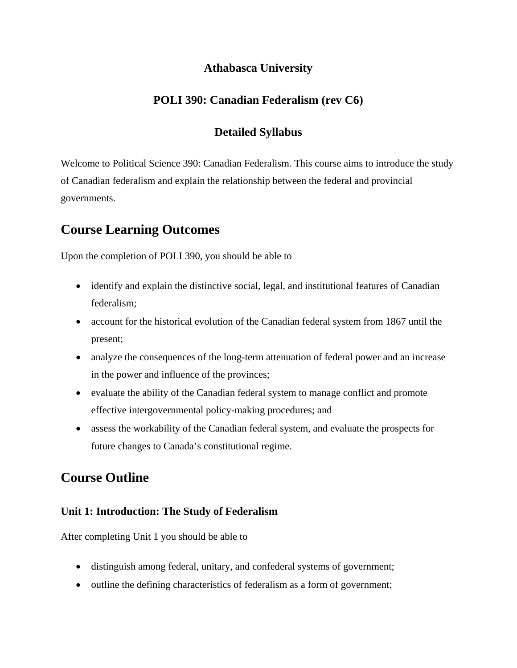# **Athabasca University**

# **POLI 390: Canadian Federalism (rev C6)**

# **Detailed Syllabus**

Welcome to Political Science 390: Canadian Federalism. This course aims to introduce the study of Canadian federalism and explain the relationship between the federal and provincial governments.

# **Course Learning Outcomes**

Upon the completion of POLI 390, you should be able to

- identify and explain the distinctive social, legal, and institutional features of Canadian federalism;
- account for the historical evolution of the Canadian federal system from 1867 until the present;
- analyze the consequences of the long-term attenuation of federal power and an increase in the power and influence of the provinces;
- evaluate the ability of the Canadian federal system to manage conflict and promote effective intergovernmental policy-making procedures; and
- assess the workability of the Canadian federal system, and evaluate the prospects for future changes to Canada's constitutional regime.

# **Course Outline**

# **Unit 1: Introduction: The Study of Federalism**

After completing Unit 1 you should be able to

- distinguish among federal, unitary, and confederal systems of government;
- outline the defining characteristics of federalism as a form of government;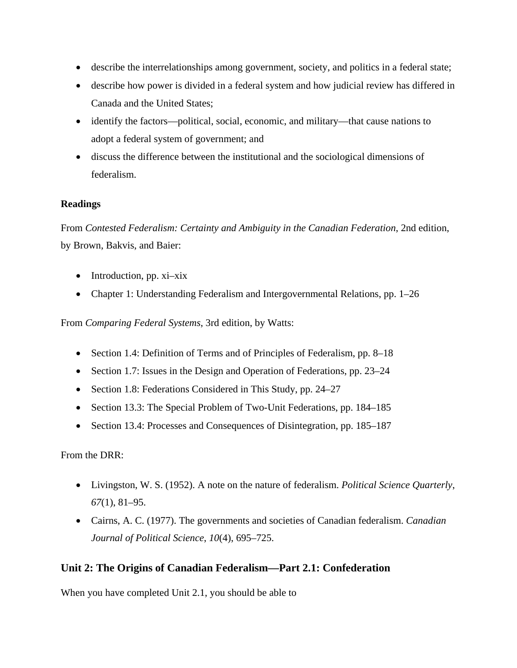- describe the interrelationships among government, society, and politics in a federal state;
- describe how power is divided in a federal system and how judicial review has differed in Canada and the United States;
- identify the factors—political, social, economic, and military—that cause nations to adopt a federal system of government; and
- discuss the difference between the institutional and the sociological dimensions of federalism.

#### **Readings**

From *Contested Federalism: Certainty and Ambiguity in the Canadian Federation*, 2nd edition, by Brown, Bakvis, and Baier:

- Introduction, pp. xi-xix
- Chapter 1: Understanding Federalism and Intergovernmental Relations, pp. 1–26

From *Comparing Federal Systems*, 3rd edition, by Watts:

- Section 1.4: Definition of Terms and of Principles of Federalism, pp. 8–18
- Section 1.7: Issues in the Design and Operation of Federations, pp. 23–24
- Section 1.8: Federations Considered in This Study, pp. 24–27
- Section 13.3: The Special Problem of Two-Unit Federations, pp. 184–185
- Section 13.4: Processes and Consequences of Disintegration, pp. 185–187

From the DRR:

- Livingston, W. S. (1952). A note on the nature of federalism. *Political Science Quarterly*, *67*(1), 81–95.
- Cairns, A. C. (1977). The governments and societies of Canadian federalism. *Canadian Journal of Political Science*, *10*(4), 695–725.

# **Unit 2: The Origins of Canadian Federalism—Part 2.1: Confederation**

When you have completed Unit 2.1, you should be able to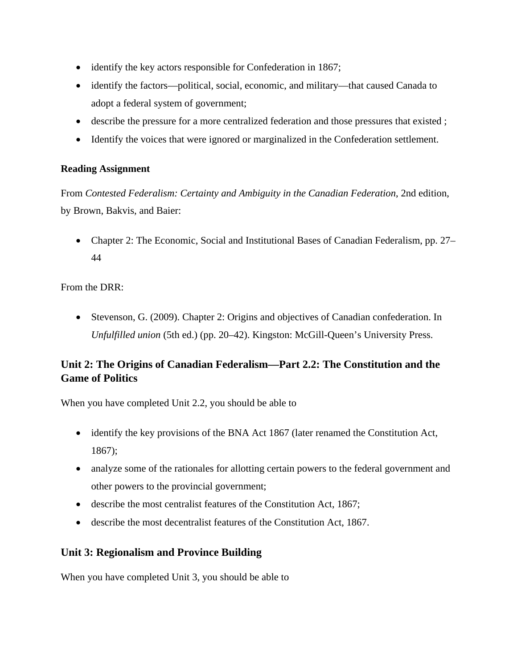- identify the key actors responsible for Confederation in 1867;
- identify the factors—political, social, economic, and military—that caused Canada to adopt a federal system of government;
- describe the pressure for a more centralized federation and those pressures that existed ;
- Identify the voices that were ignored or marginalized in the Confederation settlement.

From *Contested Federalism: Certainty and Ambiguity in the Canadian Federation*, 2nd edition, by Brown, Bakvis, and Baier:

• Chapter 2: The Economic, Social and Institutional Bases of Canadian Federalism, pp. 27– 44

From the DRR:

• Stevenson, G. (2009). Chapter 2: Origins and objectives of Canadian confederation. In *Unfulfilled union* (5th ed.) (pp. 20–42). Kingston: McGill-Queen's University Press.

# **Unit 2: The Origins of Canadian Federalism—Part 2.2: The Constitution and the Game of Politics**

When you have completed Unit 2.2, you should be able to

- identify the key provisions of the BNA Act 1867 (later renamed the Constitution Act, 1867);
- analyze some of the rationales for allotting certain powers to the federal government and other powers to the provincial government;
- describe the most centralist features of the Constitution Act, 1867;
- describe the most decentralist features of the Constitution Act, 1867.

# **Unit 3: Regionalism and Province Building**

When you have completed Unit 3, you should be able to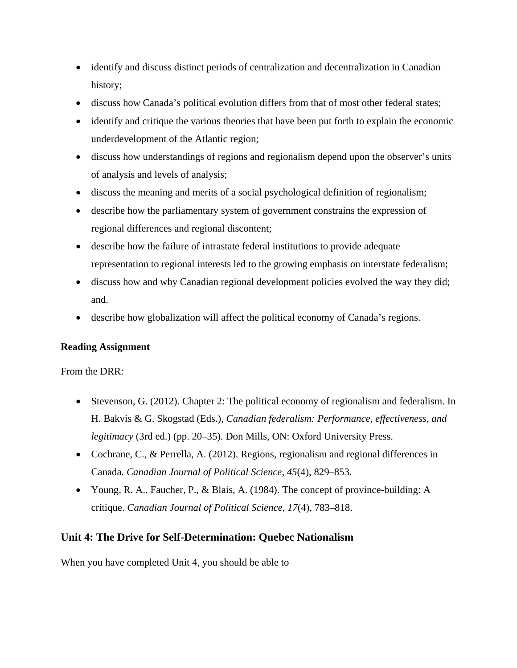- identify and discuss distinct periods of centralization and decentralization in Canadian history;
- discuss how Canada's political evolution differs from that of most other federal states;
- identify and critique the various theories that have been put forth to explain the economic underdevelopment of the Atlantic region;
- discuss how understandings of regions and regionalism depend upon the observer's units of analysis and levels of analysis;
- discuss the meaning and merits of a social psychological definition of regionalism;
- describe how the parliamentary system of government constrains the expression of regional differences and regional discontent;
- describe how the failure of intrastate federal institutions to provide adequate representation to regional interests led to the growing emphasis on interstate federalism;
- discuss how and why Canadian regional development policies evolved the way they did; and.
- describe how globalization will affect the political economy of Canada's regions.

From the DRR:

- Stevenson, G. (2012). Chapter 2: The political economy of regionalism and federalism. In H. Bakvis & G. Skogstad (Eds.), *Canadian federalism: Performance, effectiveness, and legitimacy* (3rd ed.) (pp. 20–35). Don Mills, ON: Oxford University Press.
- Cochrane, C., & Perrella, A. (2012). Regions, regionalism and regional differences in Canada*. Canadian Journal of Political Science*, *45*(4), 829–853.
- Young, R. A., Faucher, P., & Blais, A. (1984). The concept of province-building: A critique. *Canadian Journal of Political Science*, *17*(4), 783–818.

# **Unit 4: The Drive for Self-Determination: Quebec Nationalism**

When you have completed Unit 4, you should be able to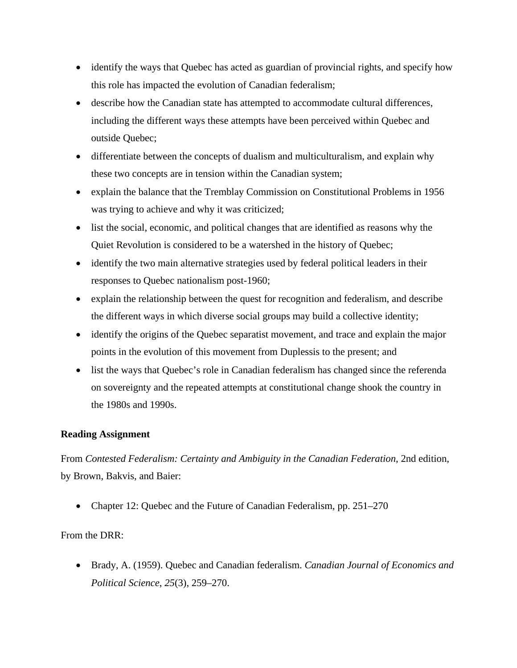- identify the ways that Quebec has acted as guardian of provincial rights, and specify how this role has impacted the evolution of Canadian federalism;
- describe how the Canadian state has attempted to accommodate cultural differences, including the different ways these attempts have been perceived within Quebec and outside Quebec;
- differentiate between the concepts of dualism and multiculturalism, and explain why these two concepts are in tension within the Canadian system;
- explain the balance that the Tremblay Commission on Constitutional Problems in 1956 was trying to achieve and why it was criticized;
- list the social, economic, and political changes that are identified as reasons why the Quiet Revolution is considered to be a watershed in the history of Quebec;
- identify the two main alternative strategies used by federal political leaders in their responses to Quebec nationalism post-1960;
- explain the relationship between the quest for recognition and federalism, and describe the different ways in which diverse social groups may build a collective identity;
- identify the origins of the Quebec separatist movement, and trace and explain the major points in the evolution of this movement from Duplessis to the present; and
- list the ways that Quebec's role in Canadian federalism has changed since the referenda on sovereignty and the repeated attempts at constitutional change shook the country in the 1980s and 1990s.

From *Contested Federalism: Certainty and Ambiguity in the Canadian Federation*, 2nd edition, by Brown, Bakvis, and Baier:

• Chapter 12: Quebec and the Future of Canadian Federalism, pp. 251–270

#### From the DRR:

• Brady, A. (1959). Quebec and Canadian federalism. *Canadian Journal of Economics and Political Science*, *25*(3), 259–270.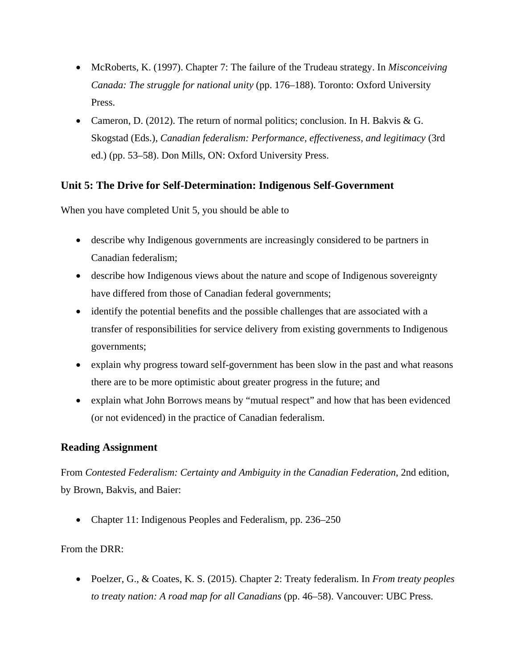- McRoberts, K. (1997). Chapter 7: The failure of the Trudeau strategy. In *Misconceiving Canada: The struggle for national unity* (pp. 176–188). Toronto: Oxford University Press.
- Cameron, D. (2012). The return of normal politics; conclusion. In H. Bakvis & G. Skogstad (Eds.), *Canadian federalism: Performance, effectiveness, and legitimacy* (3rd ed.) (pp. 53–58). Don Mills, ON: Oxford University Press.

# **Unit 5: The Drive for Self-Determination: Indigenous Self-Government**

When you have completed Unit 5, you should be able to

- describe why Indigenous governments are increasingly considered to be partners in Canadian federalism;
- describe how Indigenous views about the nature and scope of Indigenous sovereignty have differed from those of Canadian federal governments;
- identify the potential benefits and the possible challenges that are associated with a transfer of responsibilities for service delivery from existing governments to Indigenous governments;
- explain why progress toward self-government has been slow in the past and what reasons there are to be more optimistic about greater progress in the future; and
- explain what John Borrows means by "mutual respect" and how that has been evidenced (or not evidenced) in the practice of Canadian federalism.

# **Reading Assignment**

From *Contested Federalism: Certainty and Ambiguity in the Canadian Federation*, 2nd edition, by Brown, Bakvis, and Baier:

• Chapter 11: Indigenous Peoples and Federalism, pp. 236–250

#### From the DRR:

• Poelzer, G., & Coates, K. S. (2015). Chapter 2: Treaty federalism. In *From treaty peoples to treaty nation: A road map for all Canadians* (pp. 46–58). Vancouver: UBC Press.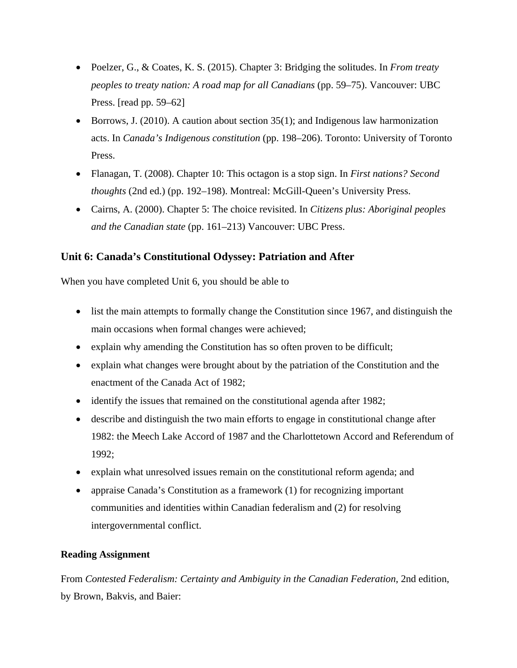- Poelzer, G., & Coates, K. S. (2015). Chapter 3: Bridging the solitudes. In *From treaty peoples to treaty nation: A road map for all Canadians* (pp. 59–75). Vancouver: UBC Press. [read pp. 59–62]
- Borrows, J. (2010). A caution about section 35(1); and Indigenous law harmonization acts. In *Canada's Indigenous constitution* (pp. 198–206). Toronto: University of Toronto Press.
- Flanagan, T. (2008). Chapter 10: This octagon is a stop sign. In *First nations? Second thoughts* (2nd ed.) (pp. 192–198). Montreal: McGill-Queen's University Press.
- Cairns, A. (2000). Chapter 5: The choice revisited. In *Citizens plus: Aboriginal peoples and the Canadian state* (pp. 161–213) Vancouver: UBC Press.

# **Unit 6: Canada's Constitutional Odyssey: Patriation and After**

When you have completed Unit 6, you should be able to

- list the main attempts to formally change the Constitution since 1967, and distinguish the main occasions when formal changes were achieved;
- explain why amending the Constitution has so often proven to be difficult;
- explain what changes were brought about by the patriation of the Constitution and the enactment of the Canada Act of 1982;
- identify the issues that remained on the constitutional agenda after 1982;
- describe and distinguish the two main efforts to engage in constitutional change after 1982: the Meech Lake Accord of 1987 and the Charlottetown Accord and Referendum of 1992;
- explain what unresolved issues remain on the constitutional reform agenda; and
- appraise Canada's Constitution as a framework (1) for recognizing important communities and identities within Canadian federalism and (2) for resolving intergovernmental conflict.

#### **Reading Assignment**

From *Contested Federalism: Certainty and Ambiguity in the Canadian Federation*, 2nd edition, by Brown, Bakvis, and Baier: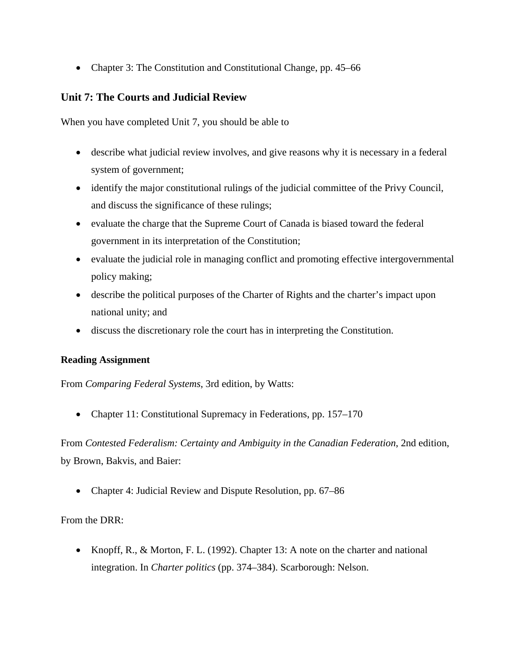• Chapter 3: The Constitution and Constitutional Change, pp. 45–66

## **Unit 7: The Courts and Judicial Review**

When you have completed Unit 7, you should be able to

- describe what judicial review involves, and give reasons why it is necessary in a federal system of government;
- identify the major constitutional rulings of the judicial committee of the Privy Council, and discuss the significance of these rulings;
- evaluate the charge that the Supreme Court of Canada is biased toward the federal government in its interpretation of the Constitution;
- evaluate the judicial role in managing conflict and promoting effective intergovernmental policy making;
- describe the political purposes of the Charter of Rights and the charter's impact upon national unity; and
- discuss the discretionary role the court has in interpreting the Constitution.

#### **Reading Assignment**

From *Comparing Federal Systems*, 3rd edition, by Watts:

• Chapter 11: Constitutional Supremacy in Federations, pp. 157–170

From *Contested Federalism: Certainty and Ambiguity in the Canadian Federation*, 2nd edition, by Brown, Bakvis, and Baier:

• Chapter 4: Judicial Review and Dispute Resolution, pp. 67–86

From the DRR:

• Knopff, R., & Morton, F. L. (1992). Chapter 13: A note on the charter and national integration. In *Charter politics* (pp. 374–384). Scarborough: Nelson.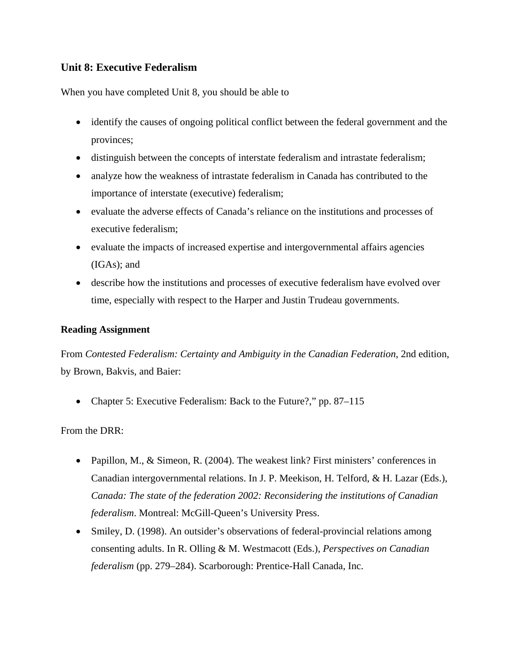# **Unit 8: Executive Federalism**

When you have completed Unit 8, you should be able to

- identify the causes of ongoing political conflict between the federal government and the provinces;
- distinguish between the concepts of interstate federalism and intrastate federalism;
- analyze how the weakness of intrastate federalism in Canada has contributed to the importance of interstate (executive) federalism;
- evaluate the adverse effects of Canada's reliance on the institutions and processes of executive federalism;
- evaluate the impacts of increased expertise and intergovernmental affairs agencies (IGAs); and
- describe how the institutions and processes of executive federalism have evolved over time, especially with respect to the Harper and Justin Trudeau governments.

#### **Reading Assignment**

From *Contested Federalism: Certainty and Ambiguity in the Canadian Federation*, 2nd edition, by Brown, Bakvis, and Baier:

• Chapter 5: Executive Federalism: Back to the Future?," pp. 87–115

From the DRR:

- Papillon, M., & Simeon, R. (2004). The weakest link? First ministers' conferences in Canadian intergovernmental relations. In J. P. Meekison, H. Telford, & H. Lazar (Eds.), *Canada: The state of the federation 2002: Reconsidering the institutions of Canadian federalism*. Montreal: McGill-Queen's University Press.
- Smiley, D. (1998). An outsider's observations of federal-provincial relations among consenting adults. In R. Olling & M. Westmacott (Eds.), *Perspectives on Canadian federalism* (pp. 279–284). Scarborough: Prentice-Hall Canada, Inc.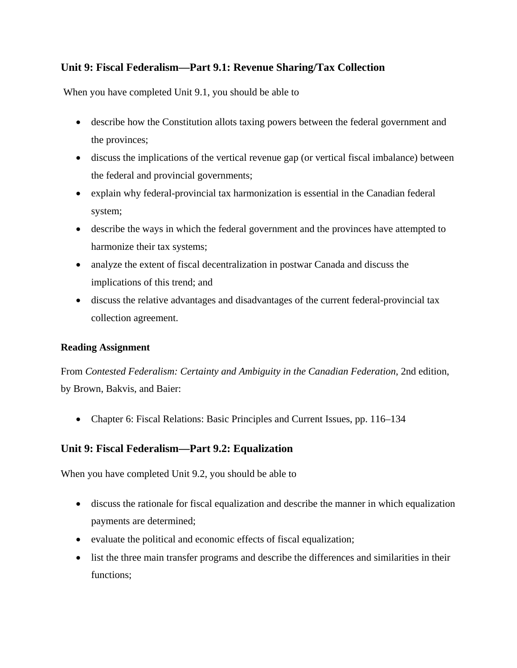# **Unit 9: Fiscal Federalism—Part 9.1: Revenue Sharing/Tax Collection**

When you have completed Unit 9.1, you should be able to

- describe how the Constitution allots taxing powers between the federal government and the provinces;
- discuss the implications of the vertical revenue gap (or vertical fiscal imbalance) between the federal and provincial governments;
- explain why federal-provincial tax harmonization is essential in the Canadian federal system;
- describe the ways in which the federal government and the provinces have attempted to harmonize their tax systems;
- analyze the extent of fiscal decentralization in postwar Canada and discuss the implications of this trend; and
- discuss the relative advantages and disadvantages of the current federal-provincial tax collection agreement.

#### **Reading Assignment**

From *Contested Federalism: Certainty and Ambiguity in the Canadian Federation*, 2nd edition, by Brown, Bakvis, and Baier:

• Chapter 6: Fiscal Relations: Basic Principles and Current Issues, pp. 116–134

# **Unit 9: Fiscal Federalism—Part 9.2: Equalization**

When you have completed Unit 9.2, you should be able to

- discuss the rationale for fiscal equalization and describe the manner in which equalization payments are determined;
- evaluate the political and economic effects of fiscal equalization;
- list the three main transfer programs and describe the differences and similarities in their functions;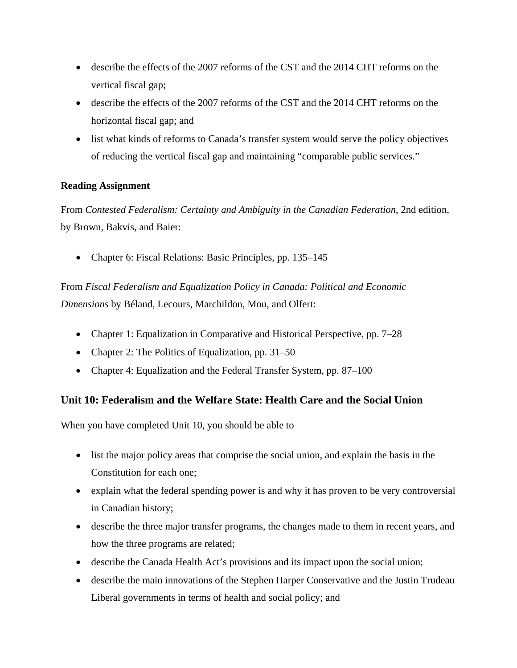- describe the effects of the 2007 reforms of the CST and the 2014 CHT reforms on the vertical fiscal gap;
- describe the effects of the 2007 reforms of the CST and the 2014 CHT reforms on the horizontal fiscal gap; and
- list what kinds of reforms to Canada's transfer system would serve the policy objectives of reducing the vertical fiscal gap and maintaining "comparable public services."

From *Contested Federalism: Certainty and Ambiguity in the Canadian Federation*, 2nd edition, by Brown, Bakvis, and Baier:

• Chapter 6: Fiscal Relations: Basic Principles, pp. 135–145

From *Fiscal Federalism and Equalization Policy in Canada: Political and Economic Dimensions* by Béland, Lecours, Marchildon, Mou, and Olfert:

- Chapter 1: Equalization in Comparative and Historical Perspective, pp. 7–28
- Chapter 2: The Politics of Equalization, pp. 31–50
- Chapter 4: Equalization and the Federal Transfer System, pp. 87–100

# **Unit 10: Federalism and the Welfare State: Health Care and the Social Union**

When you have completed Unit 10, you should be able to

- list the major policy areas that comprise the social union, and explain the basis in the Constitution for each one;
- explain what the federal spending power is and why it has proven to be very controversial in Canadian history;
- describe the three major transfer programs, the changes made to them in recent years, and how the three programs are related;
- describe the Canada Health Act's provisions and its impact upon the social union;
- describe the main innovations of the Stephen Harper Conservative and the Justin Trudeau Liberal governments in terms of health and social policy; and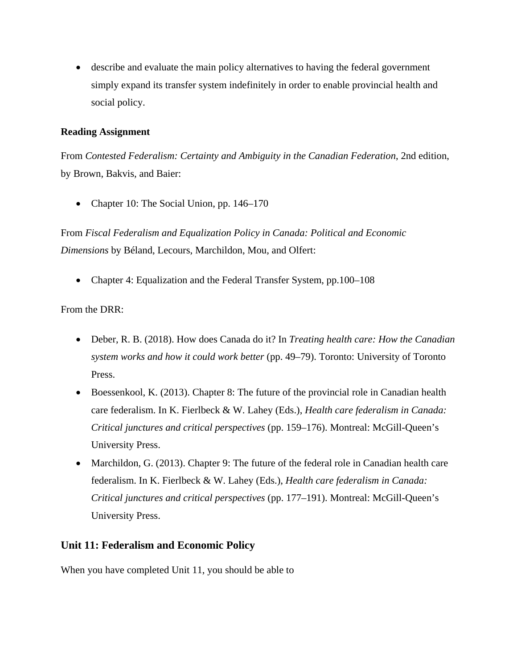• describe and evaluate the main policy alternatives to having the federal government simply expand its transfer system indefinitely in order to enable provincial health and social policy.

#### **Reading Assignment**

From *Contested Federalism: Certainty and Ambiguity in the Canadian Federation*, 2nd edition, by Brown, Bakvis, and Baier:

• Chapter 10: The Social Union, pp. 146–170

From *Fiscal Federalism and Equalization Policy in Canada: Political and Economic Dimensions* by Béland, Lecours, Marchildon, Mou, and Olfert:

• Chapter 4: Equalization and the Federal Transfer System, pp.100–108

#### From the DRR:

- Deber, R. B. (2018). How does Canada do it? In *Treating health care: How the Canadian system works and how it could work better* (pp. 49–79). Toronto: University of Toronto Press.
- Boessenkool, K. (2013). Chapter 8: The future of the provincial role in Canadian health care federalism. In K. Fierlbeck & W. Lahey (Eds.), *Health care federalism in Canada: Critical junctures and critical perspectives* (pp. 159–176). Montreal: McGill-Queen's University Press.
- Marchildon, G. (2013). Chapter 9: The future of the federal role in Canadian health care federalism. In K. Fierlbeck & W. Lahey (Eds.), *Health care federalism in Canada: Critical junctures and critical perspectives* (pp. 177–191). Montreal: McGill-Queen's University Press.

#### **Unit 11: Federalism and Economic Policy**

When you have completed Unit 11, you should be able to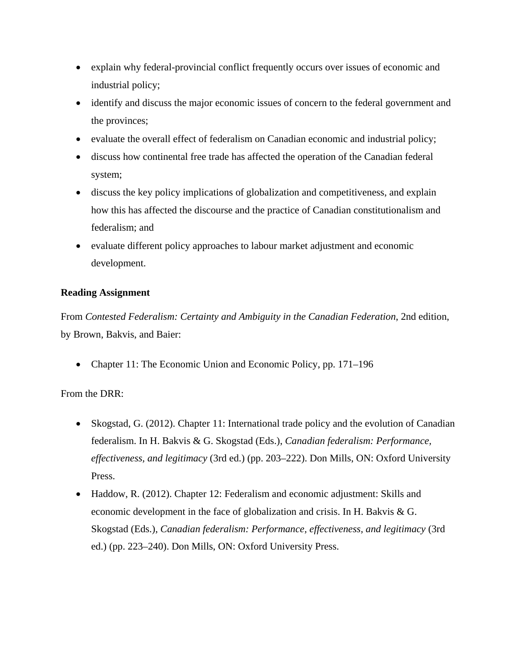- explain why federal-provincial conflict frequently occurs over issues of economic and industrial policy;
- identify and discuss the major economic issues of concern to the federal government and the provinces;
- evaluate the overall effect of federalism on Canadian economic and industrial policy;
- discuss how continental free trade has affected the operation of the Canadian federal system;
- discuss the key policy implications of globalization and competitiveness, and explain how this has affected the discourse and the practice of Canadian constitutionalism and federalism; and
- evaluate different policy approaches to labour market adjustment and economic development.

From *Contested Federalism: Certainty and Ambiguity in the Canadian Federation*, 2nd edition, by Brown, Bakvis, and Baier:

• Chapter 11: The Economic Union and Economic Policy, pp. 171–196

# From the DRR:

- Skogstad, G. (2012). Chapter 11: International trade policy and the evolution of Canadian federalism. In H. Bakvis & G. Skogstad (Eds.), *Canadian federalism: Performance, effectiveness, and legitimacy* (3rd ed.) (pp. 203–222). Don Mills, ON: Oxford University Press.
- Haddow, R. (2012). Chapter 12: Federalism and economic adjustment: Skills and economic development in the face of globalization and crisis. In H. Bakvis & G. Skogstad (Eds.), *Canadian federalism: Performance, effectiveness, and legitimacy* (3rd ed.) (pp. 223–240). Don Mills, ON: Oxford University Press.